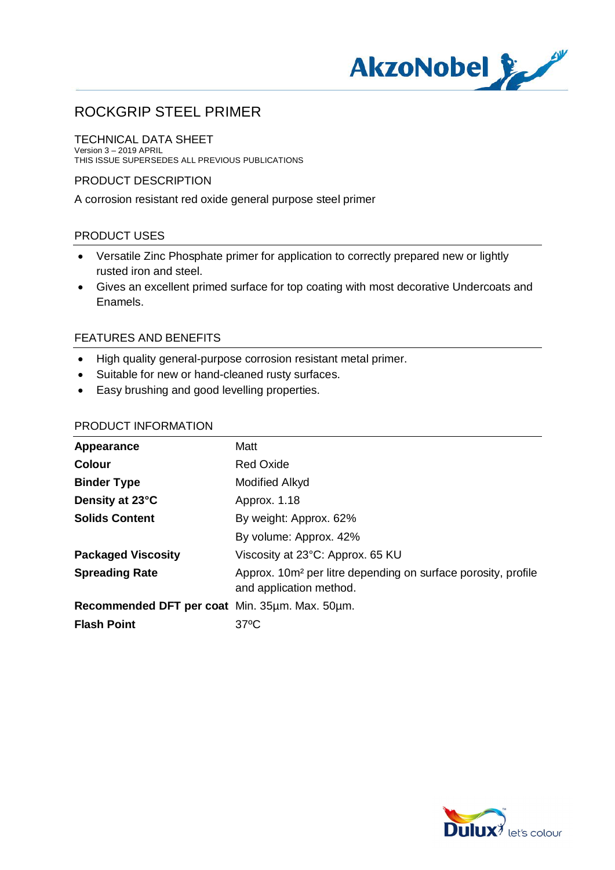

# ROCKGRIP STEEL PRIMER

#### TECHNICAL DATA SHEET Version 3 – 2019 APRIL THIS ISSUE SUPERSEDES ALL PREVIOUS PUBLICATIONS

## PRODUCT DESCRIPTION

A corrosion resistant red oxide general purpose steel primer

## PRODUCT USES

- · Versatile Zinc Phosphate primer for application to correctly prepared new or lightly rusted iron and steel.
- · Gives an excellent primed surface for top coating with most decorative Undercoats and Enamels.

## FEATURES AND BENEFITS

- · High quality general-purpose corrosion resistant metal primer.
- · Suitable for new or hand-cleaned rusty surfaces.
- · Easy brushing and good levelling properties.

## PRODUCT INFORMATION

| Appearance                                     | Matt                                                                                                 |
|------------------------------------------------|------------------------------------------------------------------------------------------------------|
| <b>Colour</b>                                  | <b>Red Oxide</b>                                                                                     |
| <b>Binder Type</b>                             | <b>Modified Alkyd</b>                                                                                |
| Density at 23°C                                | Approx. 1.18                                                                                         |
| <b>Solids Content</b>                          | By weight: Approx. 62%                                                                               |
|                                                | By volume: Approx. 42%                                                                               |
| <b>Packaged Viscosity</b>                      | Viscosity at 23°C: Approx. 65 KU                                                                     |
| <b>Spreading Rate</b>                          | Approx. 10m <sup>2</sup> per litre depending on surface porosity, profile<br>and application method. |
| Recommended DFT per coat Min. 35um. Max. 50um. |                                                                                                      |
| <b>Flash Point</b>                             | $37^{\circ}$ C                                                                                       |
|                                                |                                                                                                      |

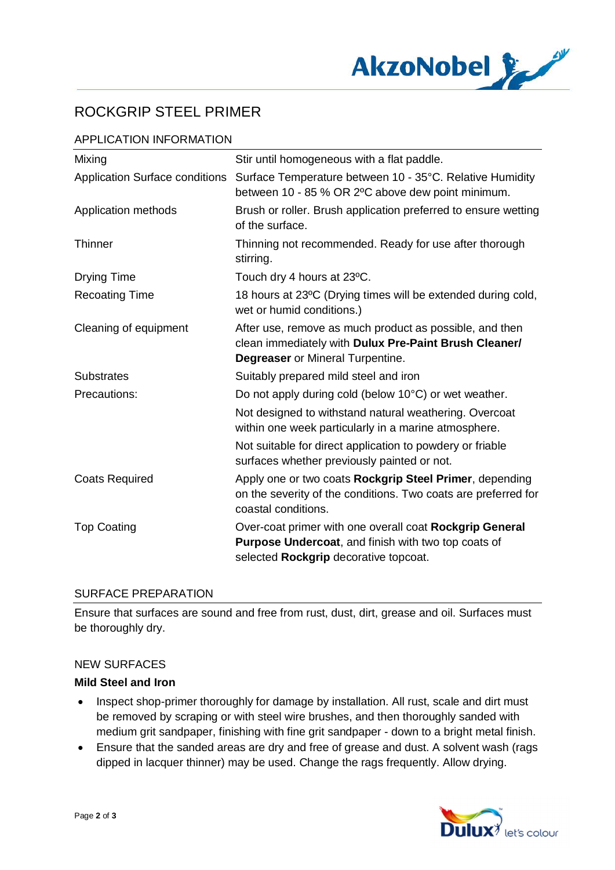

# ROCKGRIP STEEL PRIMER

## APPLICATION INFORMATION

| Mixing                                | Stir until homogeneous with a flat paddle.                                                                                                                     |
|---------------------------------------|----------------------------------------------------------------------------------------------------------------------------------------------------------------|
| <b>Application Surface conditions</b> | Surface Temperature between 10 - 35°C. Relative Humidity<br>between 10 - 85 % OR 2°C above dew point minimum.                                                  |
| Application methods                   | Brush or roller. Brush application preferred to ensure wetting<br>of the surface.                                                                              |
| <b>Thinner</b>                        | Thinning not recommended. Ready for use after thorough<br>stirring.                                                                                            |
| <b>Drying Time</b>                    | Touch dry 4 hours at 23°C.                                                                                                                                     |
| <b>Recoating Time</b>                 | 18 hours at 23°C (Drying times will be extended during cold,<br>wet or humid conditions.)                                                                      |
| Cleaning of equipment                 | After use, remove as much product as possible, and then<br>clean immediately with Dulux Pre-Paint Brush Cleaner/<br><b>Degreaser</b> or Mineral Turpentine.    |
| <b>Substrates</b>                     | Suitably prepared mild steel and iron                                                                                                                          |
| Precautions:                          | Do not apply during cold (below 10°C) or wet weather.                                                                                                          |
|                                       | Not designed to withstand natural weathering. Overcoat<br>within one week particularly in a marine atmosphere.                                                 |
|                                       | Not suitable for direct application to powdery or friable<br>surfaces whether previously painted or not.                                                       |
| <b>Coats Required</b>                 | Apply one or two coats Rockgrip Steel Primer, depending<br>on the severity of the conditions. Two coats are preferred for<br>coastal conditions.               |
| <b>Top Coating</b>                    | Over-coat primer with one overall coat Rockgrip General<br><b>Purpose Undercoat, and finish with two top coats of</b><br>selected Rockgrip decorative topcoat. |

### SURFACE PREPARATION

Ensure that surfaces are sound and free from rust, dust, dirt, grease and oil. Surfaces must be thoroughly dry.

### NEW SURFACES

### **Mild Steel and Iron**

- Inspect shop-primer thoroughly for damage by installation. All rust, scale and dirt must be removed by scraping or with steel wire brushes, and then thoroughly sanded with medium grit sandpaper, finishing with fine grit sandpaper - down to a bright metal finish.
- · Ensure that the sanded areas are dry and free of grease and dust. A solvent wash (rags dipped in lacquer thinner) may be used. Change the rags frequently. Allow drying.